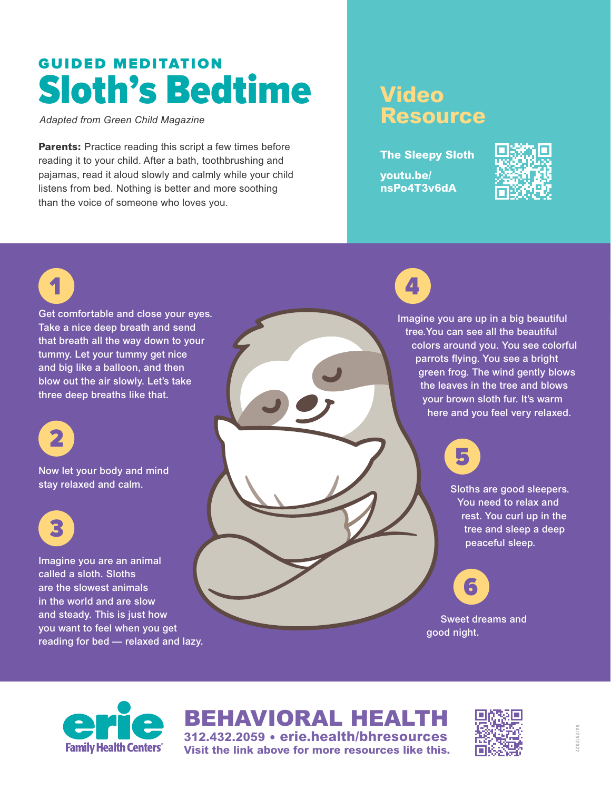## GUIDED MEDITATION Sloth's Bedtime

*Adapted from Green Child Magazine*

**Parents:** Practice reading this script a few times before reading it to your child. After a bath, toothbrushing and pajamas, read it aloud slowly and calmly while your child listens from bed. Nothing is better and more soothing than the voice of someone who loves you.

## **Video Resource**

**The Sleepy Sloth youtu.be/ nsPo4T3v6dA**







BEHAVIORAL HEALTH **312.432.2059 • erie.health/bhresources Visit the link above for more resources like this.**